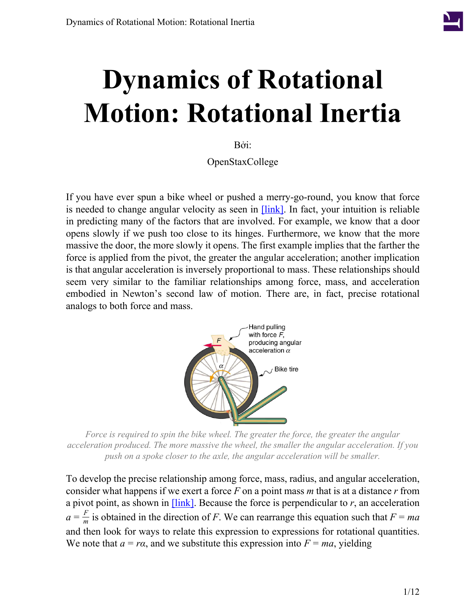

Bởi:

OpenStaxCollege

If you have ever spun a bike wheel or pushed a merry-go-round, you know that force is needed to change angular velocity as seen in [\[link\].](#page-0-0) In fact, your intuition is reliable in predicting many of the factors that are involved. For example, we know that a door opens slowly if we push too close to its hinges. Furthermore, we know that the more massive the door, the more slowly it opens. The first example implies that the farther the force is applied from the pivot, the greater the angular acceleration; another implication is that angular acceleration is inversely proportional to mass. These relationships should seem very similar to the familiar relationships among force, mass, and acceleration embodied in Newton's second law of motion. There are, in fact, precise rotational analogs to both force and mass.



<span id="page-0-0"></span>*Force is required to spin the bike wheel. The greater the force, the greater the angular acceleration produced. The more massive the wheel, the smaller the angular acceleration. If you push on a spoke closer to the axle, the angular acceleration will be smaller.*

To develop the precise relationship among force, mass, radius, and angular acceleration, consider what happens if we exert a force *F* on a point mass *m* that is at a distance *r* from a pivot point, as shown in  $[\text{link}]$ . Because the force is perpendicular to  $r$ , an acceleration  $a = \frac{F}{m}$  $\frac{F}{m}$  is obtained in the direction of *F*. We can rearrange this equation such that  $F = ma$ and then look for ways to relate this expression to expressions for rotational quantities. We note that  $a = ra$ , and we substitute this expression into  $F = ma$ , yielding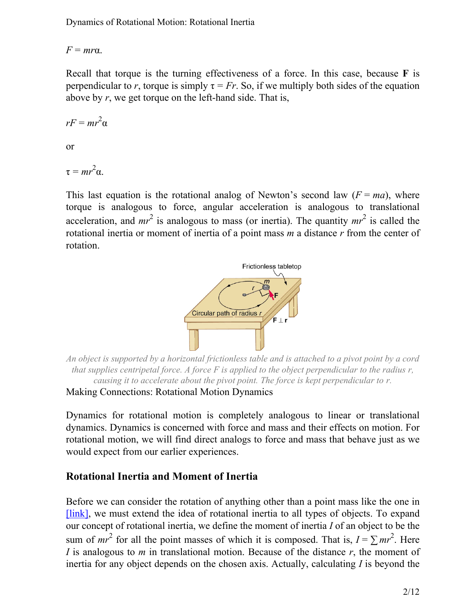$F = mr\alpha$ .

Recall that torque is the turning effectiveness of a force. In this case, because **F** is perpendicular to *r*, torque is simply  $\tau = Fr$ . So, if we multiply both sides of the equation above by *r*, we get torque on the left-hand side. That is,

$$
rF = mr^2\alpha
$$

or

$$
\tau = mr^2\alpha.
$$

<span id="page-1-0"></span>This last equation is the rotational analog of Newton's second law  $(F = ma)$ , where torque is analogous to force, angular acceleration is analogous to translational acceleration, and  $mr^2$  is analogous to mass (or inertia). The quantity  $mr^2$  is called the rotational inertia or moment of inertia of a point mass *m* a distance *r* from the center of rotation.



*An object is supported by a horizontal frictionless table and is attached to a pivot point by a cord that supplies centripetal force. A force F is applied to the object perpendicular to the radius r, causing it to accelerate about the pivot point. The force is kept perpendicular to r.*

Making Connections: Rotational Motion Dynamics

Dynamics for rotational motion is completely analogous to linear or translational dynamics. Dynamics is concerned with force and mass and their effects on motion. For rotational motion, we will find direct analogs to force and mass that behave just as we would expect from our earlier experiences.

# **Rotational Inertia and Moment of Inertia**

Before we can consider the rotation of anything other than a point mass like the one in [\[link\],](#page-1-0) we must extend the idea of rotational inertia to all types of objects. To expand our concept of rotational inertia, we define the moment of inertia *I* of an object to be the sum of  $mr^2$  for all the point masses of which it is composed. That is,  $I = \sum mr^2$ . Here *I* is analogous to *m* in translational motion. Because of the distance *r*, the moment of inertia for any object depends on the chosen axis. Actually, calculating *I* is beyond the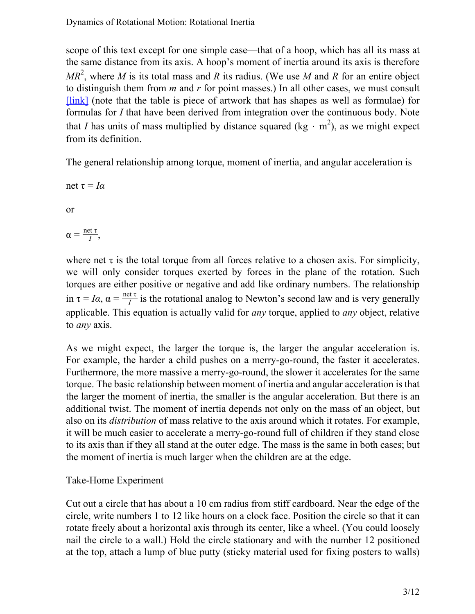scope of this text except for one simple case—that of a hoop, which has all its mass at the same distance from its axis. A hoop's moment of inertia around its axis is therefore  $MR^2$ , where *M* is its total mass and *R* its radius. (We use *M* and *R* for an entire object to distinguish them from *m* and *r* for point masses.) In all other cases, we must consult [\[link\]](#page-4-0) (note that the table is piece of artwork that has shapes as well as formulae) for formulas for *I* that have been derived from integration over the continuous body. Note that *I* has units of mass multiplied by distance squared (kg  $\cdot$  m<sup>2</sup>), as we might expect from its definition.

The general relationship among torque, moment of inertia, and angular acceleration is

net  $\tau = I\alpha$ 

or

 $\alpha = \frac{\text{net } \tau}{l}$ *I* ,

where net  $\tau$  is the total torque from all forces relative to a chosen axis. For simplicity, we will only consider torques exerted by forces in the plane of the rotation. Such torques are either positive or negative and add like ordinary numbers. The relationship in  $\tau = I\alpha$ ,  $\alpha = \frac{\text{net } \tau}{I}$  $\frac{dI\tau}{I}$  is the rotational analog to Newton's second law and is very generally applicable. This equation is actually valid for *any* torque, applied to *any* object, relative to *any* axis.

As we might expect, the larger the torque is, the larger the angular acceleration is. For example, the harder a child pushes on a merry-go-round, the faster it accelerates. Furthermore, the more massive a merry-go-round, the slower it accelerates for the same torque. The basic relationship between moment of inertia and angular acceleration is that the larger the moment of inertia, the smaller is the angular acceleration. But there is an additional twist. The moment of inertia depends not only on the mass of an object, but also on its *distribution* of mass relative to the axis around which it rotates. For example, it will be much easier to accelerate a merry-go-round full of children if they stand close to its axis than if they all stand at the outer edge. The mass is the same in both cases; but the moment of inertia is much larger when the children are at the edge.

## Take-Home Experiment

Cut out a circle that has about a 10 cm radius from stiff cardboard. Near the edge of the circle, write numbers 1 to 12 like hours on a clock face. Position the circle so that it can rotate freely about a horizontal axis through its center, like a wheel. (You could loosely nail the circle to a wall.) Hold the circle stationary and with the number 12 positioned at the top, attach a lump of blue putty (sticky material used for fixing posters to walls)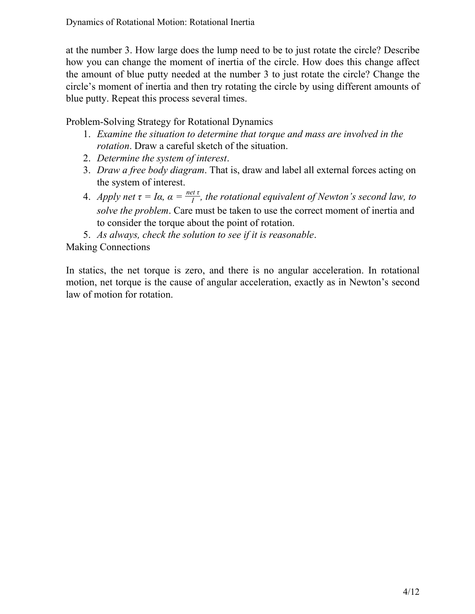at the number 3. How large does the lump need to be to just rotate the circle? Describe how you can change the moment of inertia of the circle. How does this change affect the amount of blue putty needed at the number 3 to just rotate the circle? Change the circle's moment of inertia and then try rotating the circle by using different amounts of blue putty. Repeat this process several times.

Problem-Solving Strategy for Rotational Dynamics

- 1. *Examine the situation to determine that torque and mass are involved in the rotation*. Draw a careful sketch of the situation.
- 2. *Determine the system of interest*.
- 3. *Draw a free body diagram*. That is, draw and label all external forces acting on the system of interest.
- 4. *Apply net*  $\tau = I\alpha$ ,  $\alpha = \frac{net \tau}{I}$ *I , the rotational equivalent of Newton's second law, to solve the problem*. Care must be taken to use the correct moment of inertia and to consider the torque about the point of rotation.
- 5. *As always, check the solution to see if it is reasonable*. Making Connections

In statics, the net torque is zero, and there is no angular acceleration. In rotational motion, net torque is the cause of angular acceleration, exactly as in Newton's second law of motion for rotation.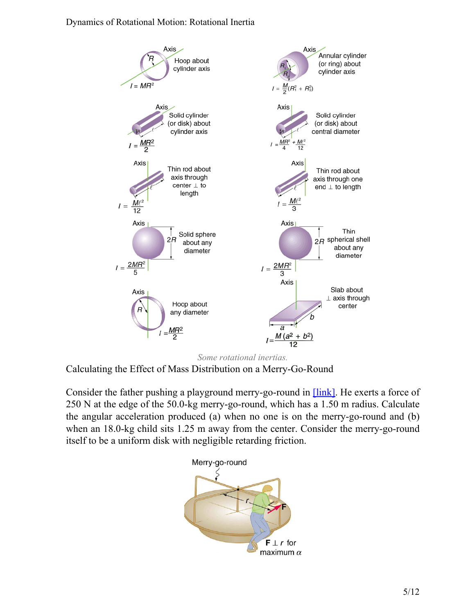<span id="page-4-0"></span>

Calculating the Effect of Mass Distribution on a Merry-Go-Round

<span id="page-4-1"></span>Consider the father pushing a playground merry-go-round in [\[link\]](#page-4-1). He exerts a force of 250 N at the edge of the 50.0-kg merry-go-round, which has a 1.50 m radius. Calculate the angular acceleration produced (a) when no one is on the merry-go-round and (b) when an 18.0-kg child sits 1.25 m away from the center. Consider the merry-go-round itself to be a uniform disk with negligible retarding friction.

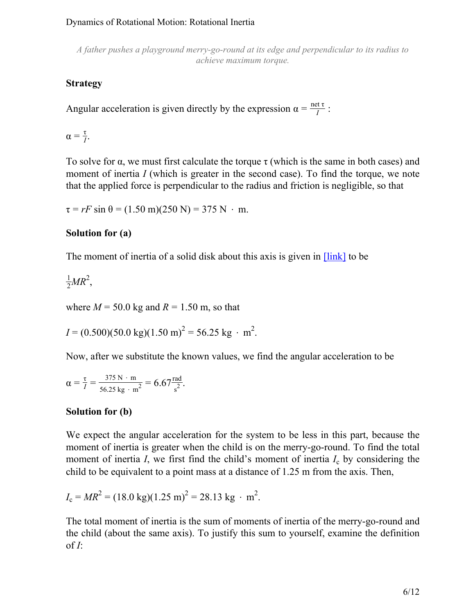*A father pushes a playground merry-go-round at its edge and perpendicular to its radius to achieve maximum torque.*

### **Strategy**

Angular acceleration is given directly by the expression  $\alpha = \frac{\text{net } \tau}{l}$  $\frac{2i\,\tau}{I}$  :

$$
\alpha = \frac{\tau}{I}.
$$

To solve for  $\alpha$ , we must first calculate the torque  $\tau$  (which is the same in both cases) and moment of inertia *I* (which is greater in the second case). To find the torque, we note that the applied force is perpendicular to the radius and friction is negligible, so that

$$
\tau = rF \sin \theta = (1.50 \text{ m})(250 \text{ N}) = 375 \text{ N} \cdot \text{m}.
$$

#### **Solution for (a)**

The moment of inertia of a solid disk about this axis is given in [\[link\]](#page-4-0) to be

$$
\frac{1}{2}MR^2,
$$

where  $M = 50.0$  kg and  $R = 1.50$  m, so that

$$
I = (0.500)(50.0 \text{ kg})(1.50 \text{ m})^2 = 56.25 \text{ kg} \cdot \text{m}^2.
$$

Now, after we substitute the known values, we find the angular acceleration to be

$$
\alpha = \frac{\tau}{I} = \frac{375 \text{ N} \cdot \text{m}}{56.25 \text{ kg} \cdot \text{m}^2} = 6.67 \frac{\text{rad}}{\text{s}^2}.
$$

### **Solution for (b)**

We expect the angular acceleration for the system to be less in this part, because the moment of inertia is greater when the child is on the merry-go-round. To find the total moment of inertia *I*, we first find the child's moment of inertia  $I_c$  by considering the child to be equivalent to a point mass at a distance of 1.25 m from the axis. Then,

$$
I_c = MR^2 = (18.0 \text{ kg})(1.25 \text{ m})^2 = 28.13 \text{ kg} \cdot \text{m}^2
$$
.

The total moment of inertia is the sum of moments of inertia of the merry-go-round and the child (about the same axis). To justify this sum to yourself, examine the definition of *I*: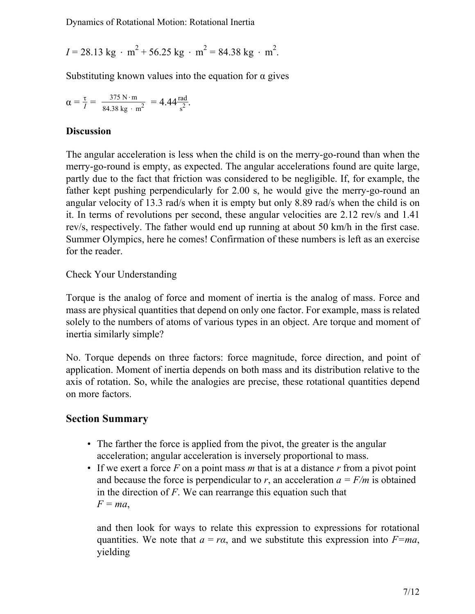$I = 28.13 \text{ kg} \cdot \text{m}^2 + 56.25 \text{ kg} \cdot \text{m}^2 = 84.38 \text{ kg} \cdot \text{m}^2$ .

Substituting known values into the equation for  $\alpha$  gives

$$
\alpha = \frac{\tau}{I} = \frac{375 \text{ N} \cdot \text{m}}{84.38 \text{ kg} \cdot \text{m}^2} = 4.44 \frac{\text{rad}}{\text{s}^2}.
$$

## **Discussion**

The angular acceleration is less when the child is on the merry-go-round than when the merry-go-round is empty, as expected. The angular accelerations found are quite large, partly due to the fact that friction was considered to be negligible. If, for example, the father kept pushing perpendicularly for 2.00 s, he would give the merry-go-round an angular velocity of 13.3 rad/s when it is empty but only 8.89 rad/s when the child is on it. In terms of revolutions per second, these angular velocities are 2.12 rev/s and 1.41 rev/s, respectively. The father would end up running at about 50 km/h in the first case. Summer Olympics, here he comes! Confirmation of these numbers is left as an exercise for the reader.

# Check Your Understanding

Torque is the analog of force and moment of inertia is the analog of mass. Force and mass are physical quantities that depend on only one factor. For example, mass is related solely to the numbers of atoms of various types in an object. Are torque and moment of inertia similarly simple?

No. Torque depends on three factors: force magnitude, force direction, and point of application. Moment of inertia depends on both mass and its distribution relative to the axis of rotation. So, while the analogies are precise, these rotational quantities depend on more factors.

# **Section Summary**

- The farther the force is applied from the pivot, the greater is the angular acceleration; angular acceleration is inversely proportional to mass.
- If we exert a force *F* on a point mass *m* that is at a distance *r* from a pivot point and because the force is perpendicular to *r*, an acceleration  $a = F/m$  is obtained in the direction of *F*. We can rearrange this equation such that  $F = ma$ ,

and then look for ways to relate this expression to expressions for rotational quantities. We note that  $a = ra$ , and we substitute this expression into  $F=ma$ , yielding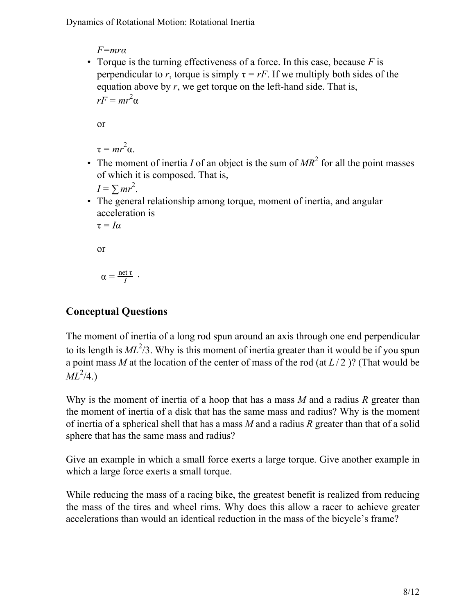*F=mrα*

• Torque is the turning effectiveness of a force. In this case, because *F* is perpendicular to *r*, torque is simply  $\tau = rF$ . If we multiply both sides of the equation above by *r*, we get torque on the left-hand side. That is,  $rF = mr^2\alpha$ 

or

 $\tau = mr^2\alpha$ .

• The moment of inertia *I* of an object is the sum of  $MR^2$  for all the point masses of which it is composed. That is,

$$
I=\sum mr^2.
$$

• The general relationship among torque, moment of inertia, and angular acceleration is

 $\tau = I\alpha$ 

or

$$
\alpha = \tfrac{\text{net } \tau}{I} \enspace .
$$

# **Conceptual Questions**

The moment of inertia of a long rod spun around an axis through one end perpendicular to its length is  $ML^2/3$ . Why is this moment of inertia greater than it would be if you spun a point mass *M* at the location of the center of mass of the rod (at *L* / 2 )? (That would be  $ML^2/4$ .)

Why is the moment of inertia of a hoop that has a mass *M* and a radius *R* greater than the moment of inertia of a disk that has the same mass and radius? Why is the moment of inertia of a spherical shell that has a mass *M* and a radius *R* greater than that of a solid sphere that has the same mass and radius?

Give an example in which a small force exerts a large torque. Give another example in which a large force exerts a small torque.

While reducing the mass of a racing bike, the greatest benefit is realized from reducing the mass of the tires and wheel rims. Why does this allow a racer to achieve greater accelerations than would an identical reduction in the mass of the bicycle's frame?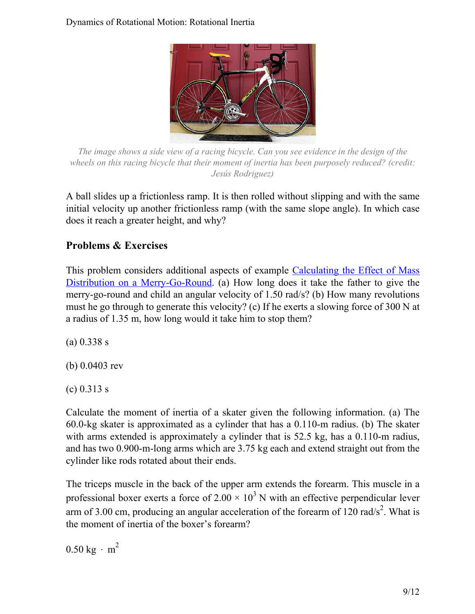

*The image shows a side view of a racing bicycle. Can you see evidence in the design of the wheels on this racing bicycle that their moment of inertia has been purposely reduced? (credit: Jesús Rodriguez)*

A ball slides up a frictionless ramp. It is then rolled without slipping and with the same initial velocity up another frictionless ramp (with the same slope angle). In which case does it reach a greater height, and why?

# **Problems & Exercises**

This problem considers additional aspects of example [Calculating](/m42179#fs-id1468671) the Effect of Mass Distribution on a [Merry-Go-Round](/m42179#fs-id1468671). (a) How long does it take the father to give the merry-go-round and child an angular velocity of 1.50 rad/s? (b) How many revolutions must he go through to generate this velocity? (c) If he exerts a slowing force of 300 N at a radius of 1.35 m, how long would it take him to stop them?

(a) 0.338 s

(b) 0.0403 rev

(c) 0.313 s

Calculate the moment of inertia of a skater given the following information. (a) The 60.0-kg skater is approximated as a cylinder that has a 0.110-m radius. (b) The skater with arms extended is approximately a cylinder that is 52.5 kg, has a 0.110-m radius, and has two 0.900-m-long arms which are 3.75 kg each and extend straight out from the cylinder like rods rotated about their ends.

The triceps muscle in the back of the upper arm extends the forearm. This muscle in a professional boxer exerts a force of  $2.00 \times 10^3$  N with an effective perpendicular lever arm of 3.00 cm, producing an angular acceleration of the forearm of 120 rad/s<sup>2</sup>. What is the moment of inertia of the boxer's forearm?

 $0.50 \text{ kg} \cdot \text{m}^2$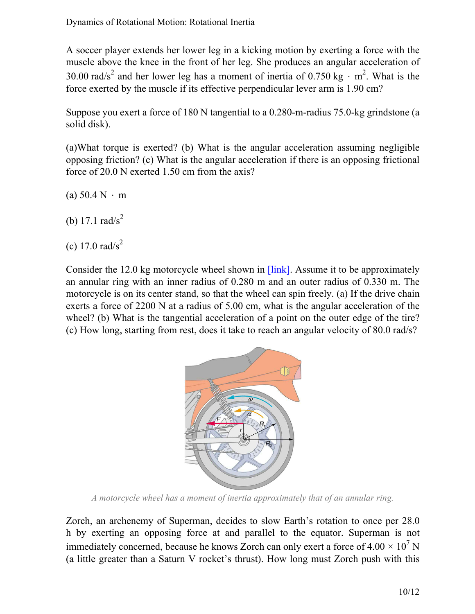A soccer player extends her lower leg in a kicking motion by exerting a force with the muscle above the knee in the front of her leg. She produces an angular acceleration of 30.00 rad/s<sup>2</sup> and her lower leg has a moment of inertia of 0.750 kg · m<sup>2</sup>. What is the force exerted by the muscle if its effective perpendicular lever arm is 1.90 cm?

Suppose you exert a force of 180 N tangential to a 0.280-m-radius 75.0-kg grindstone (a solid disk).

(a)What torque is exerted? (b) What is the angular acceleration assuming negligible opposing friction? (c) What is the angular acceleration if there is an opposing frictional force of 20.0 N exerted 1.50 cm from the axis?

- $(a) 50.4 N \cdot m$
- (b) 17.1  $\text{rad/s}^2$
- (c) 17.0  $\text{rad/s}^2$

<span id="page-9-0"></span>Consider the 12.0 kg motorcycle wheel shown in [\[link\].](#page-9-0) Assume it to be approximately an annular ring with an inner radius of 0.280 m and an outer radius of 0.330 m. The motorcycle is on its center stand, so that the wheel can spin freely. (a) If the drive chain exerts a force of 2200 N at a radius of 5.00 cm, what is the angular acceleration of the wheel? (b) What is the tangential acceleration of a point on the outer edge of the tire? (c) How long, starting from rest, does it take to reach an angular velocity of 80.0 rad/s?



*A motorcycle wheel has a moment of inertia approximately that of an annular ring.*

Zorch, an archenemy of Superman, decides to slow Earth's rotation to once per 28.0 h by exerting an opposing force at and parallel to the equator. Superman is not immediately concerned, because he knows Zorch can only exert a force of  $4.00 \times 10^7$  N (a little greater than a Saturn V rocket's thrust). How long must Zorch push with this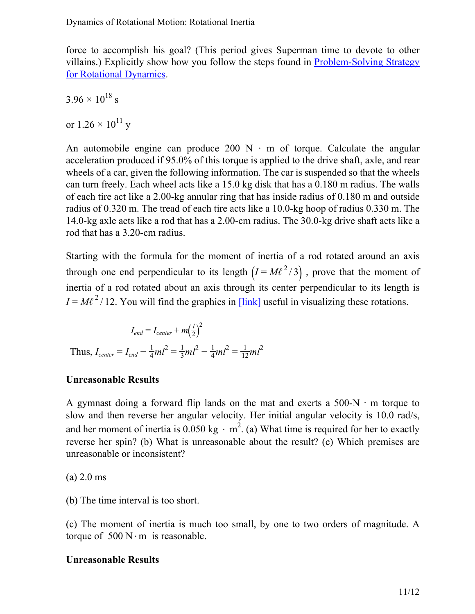force to accomplish his goal? (This period gives Superman time to devote to other villains.) Explicitly show how you follow the steps found in [Problem-Solving](/m42179#fs-id2929358) Strategy [for Rotational Dynamics.](/m42179#fs-id2929358)

 $3.96 \times 10^{18}$  s

or  $1.26 \times 10^{11}$  y

An automobile engine can produce 200 N  $\cdot$  m of torque. Calculate the angular acceleration produced if 95.0% of this torque is applied to the drive shaft, axle, and rear wheels of a car, given the following information. The car is suspended so that the wheels can turn freely. Each wheel acts like a 15.0 kg disk that has a 0.180 m radius. The walls of each tire act like a 2.00-kg annular ring that has inside radius of 0.180 m and outside radius of 0.320 m. The tread of each tire acts like a 10.0-kg hoop of radius 0.330 m. The 14.0-kg axle acts like a rod that has a 2.00-cm radius. The 30.0-kg drive shaft acts like a rod that has a 3.20-cm radius.

Starting with the formula for the moment of inertia of a rod rotated around an axis through one end perpendicular to its length  $(I = M\ell^2/3)$ , prove that the moment of inertia of a rod rotated about an axis through its center perpendicular to its length is  $I = M\ell^2/12$ . You will find the graphics in  $\boxed{\text{link}}$  useful in visualizing these rotations.

$$
I_{end} = I_{center} + m(\frac{l}{2})^2
$$
  
Thus,  $I_{center} = I_{end} - \frac{1}{4}ml^2 = \frac{1}{3}ml^2 - \frac{1}{4}ml^2 = \frac{1}{12}ml^2$ 

## **Unreasonable Results**

A gymnast doing a forward flip lands on the mat and exerts a 500-N ∙ m torque to slow and then reverse her angular velocity. Her initial angular velocity is 10.0 rad/s, and her moment of inertia is  $0.050 \text{ kg} \cdot \text{m}^2$ . (a) What time is required for her to exactly reverse her spin? (b) What is unreasonable about the result? (c) Which premises are unreasonable or inconsistent?

(a) 2.0 ms

(b) The time interval is too short.

(c) The moment of inertia is much too small, by one to two orders of magnitude. A torque of  $500 \text{ N} \cdot \text{m}$  is reasonable.

## **Unreasonable Results**